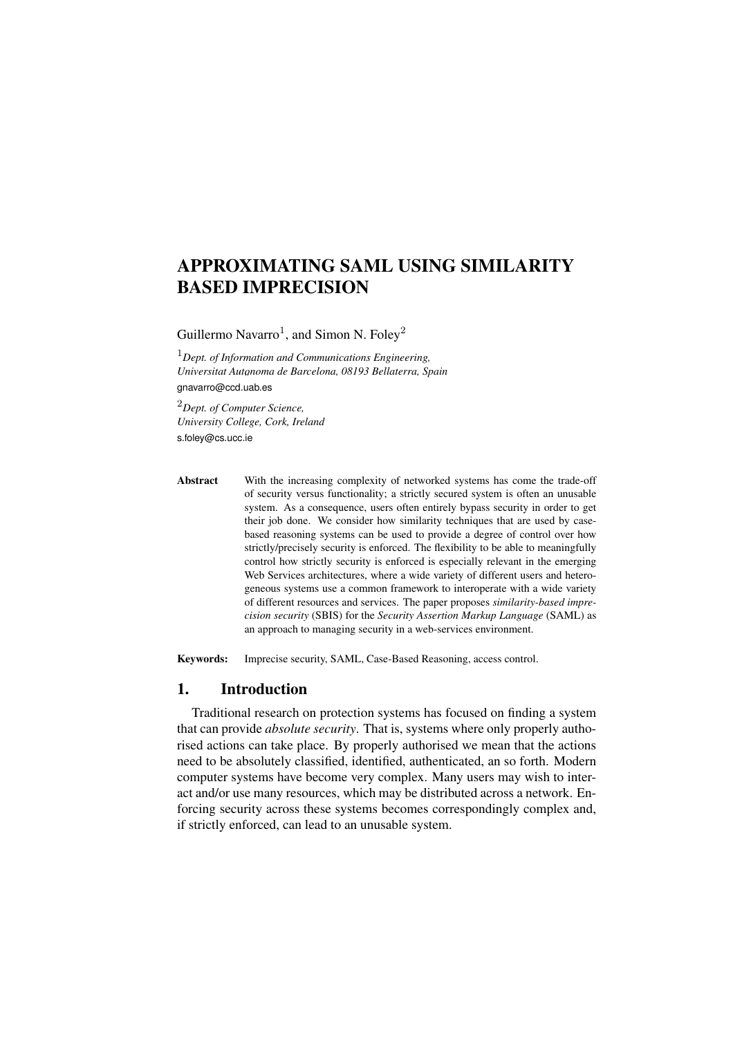# **APPROXIMATING SAML USING SIMILARITY BASED IMPRECISION**

Guillermo Navarro<sup>1</sup>, and Simon N. Foley<sup>2</sup>

<sup>1</sup>*Dept. of Information and Communications Engineering, Universitat Aut"onoma de Barcelona, 08193 Bellaterra, Spain* gnavarro@ccd.uab.es

<sup>2</sup>*Dept. of Computer Science, University College, Cork, Ireland* s.foley@cs.ucc.ie

**Abstract** With the increasing complexity of networked systems has come the trade-off of security versus functionality; a strictly secured system is often an unusable system. As a consequence, users often entirely bypass security in order to get their job done. We consider how similarity techniques that are used by casebased reasoning systems can be used to provide a degree of control over how strictly/precisely security is enforced. The flexibility to be able to meaningfully control how strictly security is enforced is especially relevant in the emerging Web Services architectures, where a wide variety of different users and heterogeneous systems use a common framework to interoperate with a wide variety of different resources and services. The paper proposes *similarity-based imprecision security* (SBIS) for the *Security Assertion Markup Language* (SAML) as an approach to managing security in a web-services environment.

**Keywords:** Imprecise security, SAML, Case-Based Reasoning, access control.

## **1. Introduction**

Traditional research on protection systems has focused on finding a system that can provide *absolute security*. That is, systems where only properly authorised actions can take place. By properly authorised we mean that the actions need to be absolutely classified, identified, authenticated, an so forth. Modern computer systems have become very complex. Many users may wish to interact and/or use many resources, which may be distributed across a network. Enforcing security across these systems becomes correspondingly complex and, if strictly enforced, can lead to an unusable system.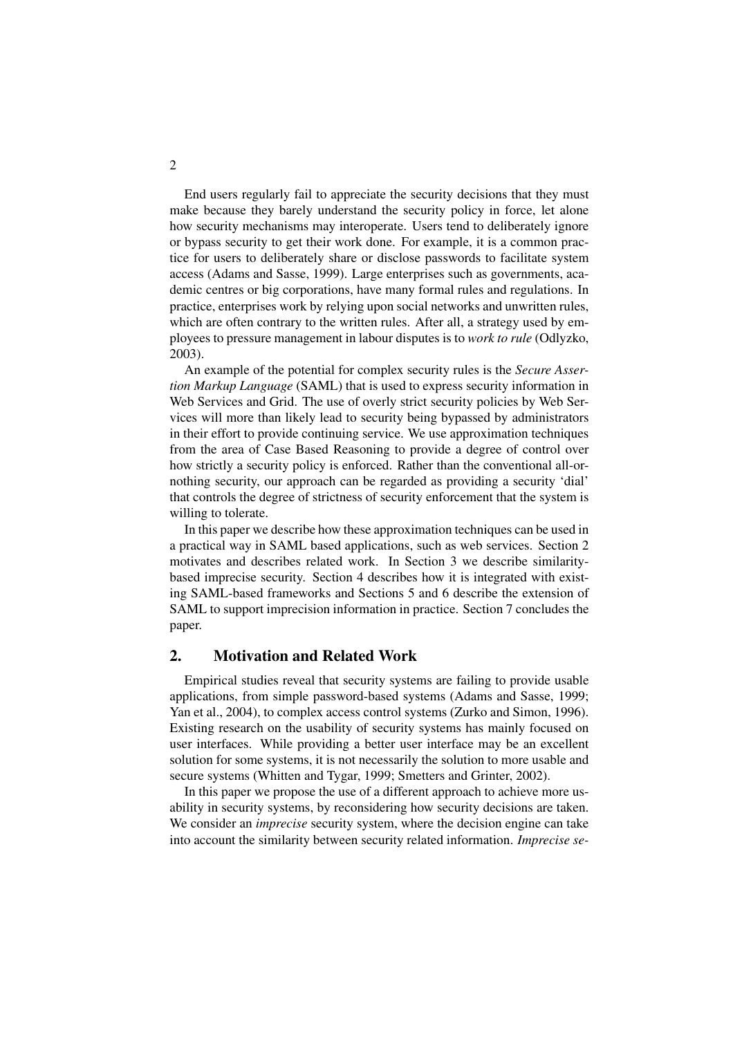End users regularly fail to appreciate the security decisions that they must make because they barely understand the security policy in force, let alone how security mechanisms may interoperate. Users tend to deliberately ignore or bypass security to get their work done. For example, it is a common practice for users to deliberately share or disclose passwords to facilitate system access (Adams and Sasse, 1999). Large enterprises such as governments, academic centres or big corporations, have many formal rules and regulations. In practice, enterprises work by relying upon social networks and unwritten rules, which are often contrary to the written rules. After all, a strategy used by employees to pressure management in labour disputes is to *work to rule* (Odlyzko, 2003).

An example of the potential for complex security rules is the *Secure Assertion Markup Language* (SAML) that is used to express security information in Web Services and Grid. The use of overly strict security policies by Web Services will more than likely lead to security being bypassed by administrators in their effort to provide continuing service. We use approximation techniques from the area of Case Based Reasoning to provide a degree of control over how strictly a security policy is enforced. Rather than the conventional all-ornothing security, our approach can be regarded as providing a security 'dial' that controls the degree of strictness of security enforcement that the system is willing to tolerate.

In this paper we describe how these approximation techniques can be used in a practical way in SAML based applications, such as web services. Section 2 motivates and describes related work. In Section 3 we describe similaritybased imprecise security. Section 4 describes how it is integrated with existing SAML-based frameworks and Sections 5 and 6 describe the extension of SAML to support imprecision information in practice. Section 7 concludes the paper.

#### **2. Motivation and Related Work**

Empirical studies reveal that security systems are failing to provide usable applications, from simple password-based systems (Adams and Sasse, 1999; Yan et al., 2004), to complex access control systems (Zurko and Simon, 1996). Existing research on the usability of security systems has mainly focused on user interfaces. While providing a better user interface may be an excellent solution for some systems, it is not necessarily the solution to more usable and secure systems (Whitten and Tygar, 1999; Smetters and Grinter, 2002).

In this paper we propose the use of a different approach to achieve more usability in security systems, by reconsidering how security decisions are taken. We consider an *imprecise* security system, where the decision engine can take into account the similarity between security related information. *Imprecise se-*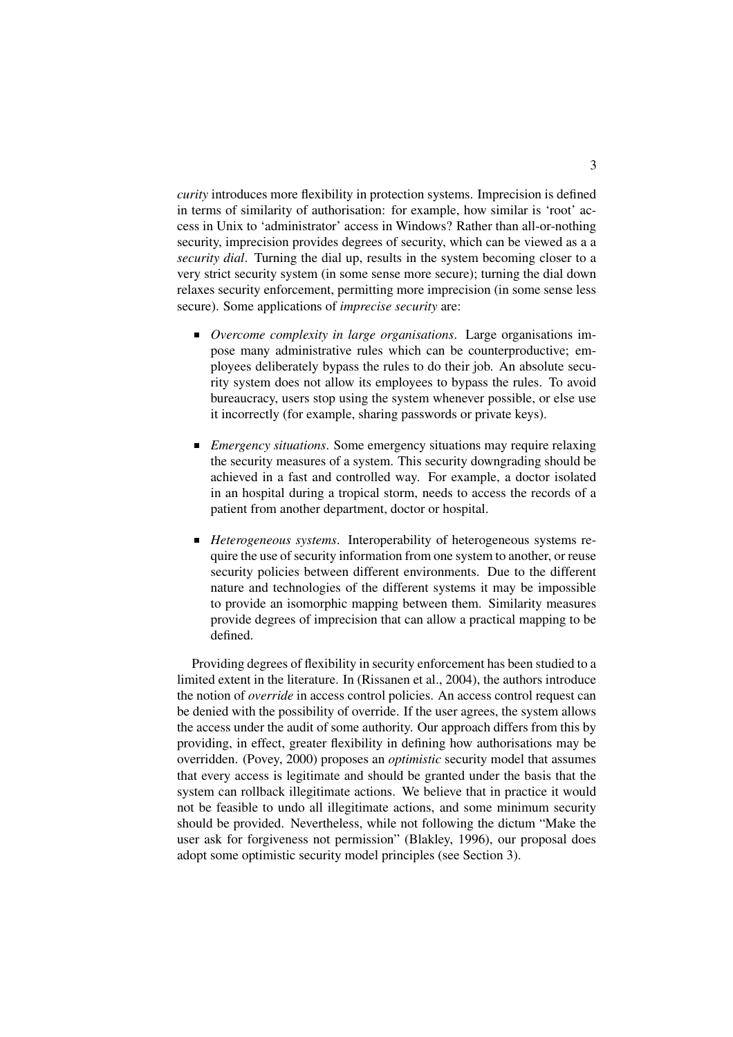*curity* introduces more flexibility in protection systems. Imprecision is defined in terms of similarity of authorisation: for example, how similar is 'root' access in Unix to 'administrator' access in Windows? Rather than all-or-nothing security, imprecision provides degrees of security, which can be viewed as a a *security dial*. Turning the dial up, results in the system becoming closer to a very strict security system (in some sense more secure); turning the dial down relaxes security enforcement, permitting more imprecision (in some sense less secure). Some applications of *imprecise security* are:

- *Overcome complexity in large organisations*. Large organisations impose many administrative rules which can be counterproductive; employees deliberately bypass the rules to do their job. An absolute security system does not allow its employees to bypass the rules. To avoid bureaucracy, users stop using the system whenever possible, or else use it incorrectly (for example, sharing passwords or private keys).
- *Emergency situations*. Some emergency situations may require relaxing the security measures of a system. This security downgrading should be achieved in a fast and controlled way. For example, a doctor isolated in an hospital during a tropical storm, needs to access the records of a patient from another department, doctor or hospital.
- *Heterogeneous systems*. Interoperability of heterogeneous systems require the use of security information from one system to another, or reuse security policies between different environments. Due to the different nature and technologies of the different systems it may be impossible to provide an isomorphic mapping between them. Similarity measures provide degrees of imprecision that can allow a practical mapping to be defined.

Providing degrees of flexibility in security enforcement has been studied to a limited extent in the literature. In (Rissanen et al., 2004), the authors introduce the notion of *override* in access control policies. An access control request can be denied with the possibility of override. If the user agrees, the system allows the access under the audit of some authority. Our approach differs from this by providing, in effect, greater flexibility in defining how authorisations may be overridden. (Povey, 2000) proposes an *optimistic* security model that assumes that every access is legitimate and should be granted under the basis that the system can rollback illegitimate actions. We believe that in practice it would not be feasible to undo all illegitimate actions, and some minimum security should be provided. Nevertheless, while not following the dictum "Make the user ask for forgiveness not permission" (Blakley, 1996), our proposal does adopt some optimistic security model principles (see Section 3).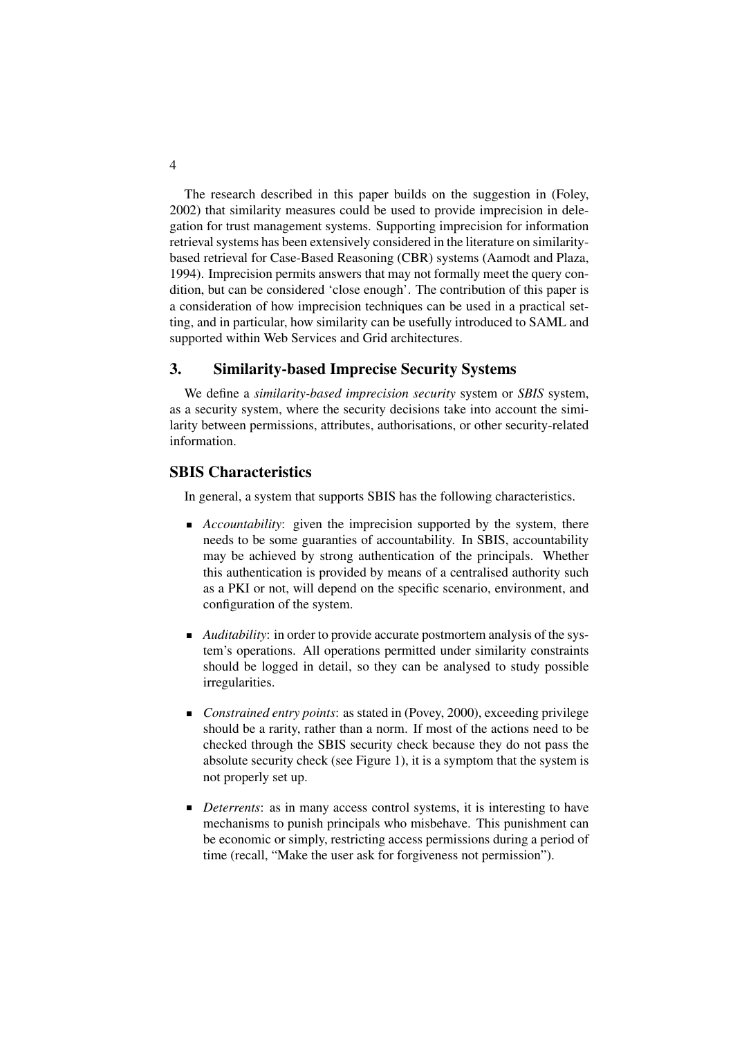The research described in this paper builds on the suggestion in (Foley, 2002) that similarity measures could be used to provide imprecision in delegation for trust management systems. Supporting imprecision for information retrieval systems has been extensively considered in the literature on similaritybased retrieval for Case-Based Reasoning (CBR) systems (Aamodt and Plaza, 1994). Imprecision permits answers that may not formally meet the query condition, but can be considered 'close enough'. The contribution of this paper is a consideration of how imprecision techniques can be used in a practical setting, and in particular, how similarity can be usefully introduced to SAML and supported within Web Services and Grid architectures.

# **3. Similarity-based Imprecise Security Systems**

We define a *similarity-based imprecision security* system or *SBIS* system, as a security system, where the security decisions take into account the similarity between permissions, attributes, authorisations, or other security-related information.

# **SBIS Characteristics**

In general, a system that supports SBIS has the following characteristics.

- *Accountability*: given the imprecision supported by the system, there needs to be some guaranties of accountability. In SBIS, accountability may be achieved by strong authentication of the principals. Whether this authentication is provided by means of a centralised authority such as a PKI or not, will depend on the specific scenario, environment, and configuration of the system.
- *Auditability*: in order to provide accurate postmortem analysis of the system's operations. All operations permitted under similarity constraints should be logged in detail, so they can be analysed to study possible irregularities.
- *Constrained entry points*: as stated in (Povey, 2000), exceeding privilege should be a rarity, rather than a norm. If most of the actions need to be checked through the SBIS security check because they do not pass the absolute security check (see Figure 1), it is a symptom that the system is not properly set up.
- *Deterrents*: as in many access control systems, it is interesting to have mechanisms to punish principals who misbehave. This punishment can be economic or simply, restricting access permissions during a period of time (recall, "Make the user ask for forgiveness not permission").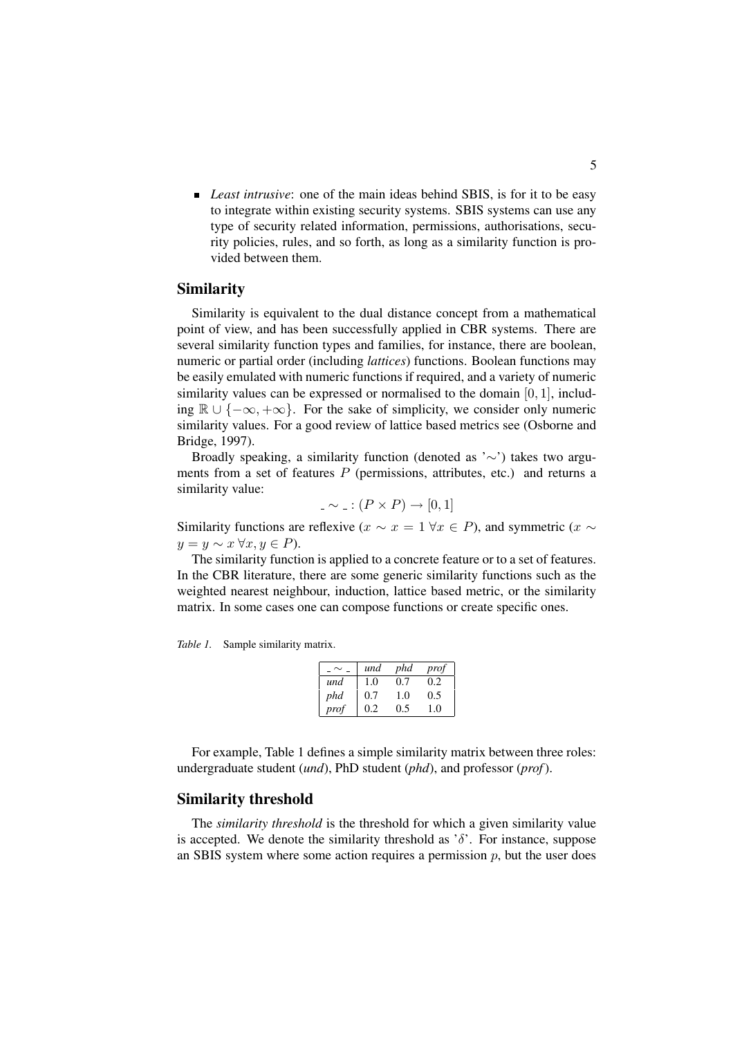■ *Least intrusive*: one of the main ideas behind SBIS, is for it to be easy to integrate within existing security systems. SBIS systems can use any type of security related information, permissions, authorisations, security policies, rules, and so forth, as long as a similarity function is provided between them.

#### **Similarity**

Similarity is equivalent to the dual distance concept from a mathematical point of view, and has been successfully applied in CBR systems. There are several similarity function types and families, for instance, there are boolean, numeric or partial order (including *lattices*) functions. Boolean functions may be easily emulated with numeric functions if required, and a variety of numeric similarity values can be expressed or normalised to the domain  $[0, 1]$ , including  $\mathbb{R} \cup \{-\infty, +\infty\}$ . For the sake of simplicity, we consider only numeric similarity values. For a good review of lattice based metrics see (Osborne and Bridge, 1997).

Broadly speaking, a similarity function (denoted as '∼') takes two arguments from a set of features  $P$  (permissions, attributes, etc.) and returns a similarity value:

$$
\cdot \sim \cdot : (P \times P) \to [0, 1]
$$

Similarity functions are reflexive ( $x \sim x = 1 \ \forall x \in P$ ), and symmetric ( $x \sim$  $y = y \sim x \,\forall x, y \in P$ ).

The similarity function is applied to a concrete feature or to a set of features. In the CBR literature, there are some generic similarity functions such as the weighted nearest neighbour, induction, lattice based metric, or the similarity matrix. In some cases one can compose functions or create specific ones.

*Table 1.* Sample similarity matrix.

|      | und | phd | prof |
|------|-----|-----|------|
| und  | 1.0 | 0.7 | 0.2  |
| phd  | 0.7 | 1.0 | 0.5  |
| prof | 0.2 | 0.5 | 1.0  |

For example, Table 1 defines a simple similarity matrix between three roles: undergraduate student (*und*), PhD student (*phd*), and professor (*prof*).

## **Similarity threshold**

The *similarity threshold* is the threshold for which a given similarity value is accepted. We denote the similarity threshold as  $\delta$ . For instance, suppose an SBIS system where some action requires a permission  $p$ , but the user does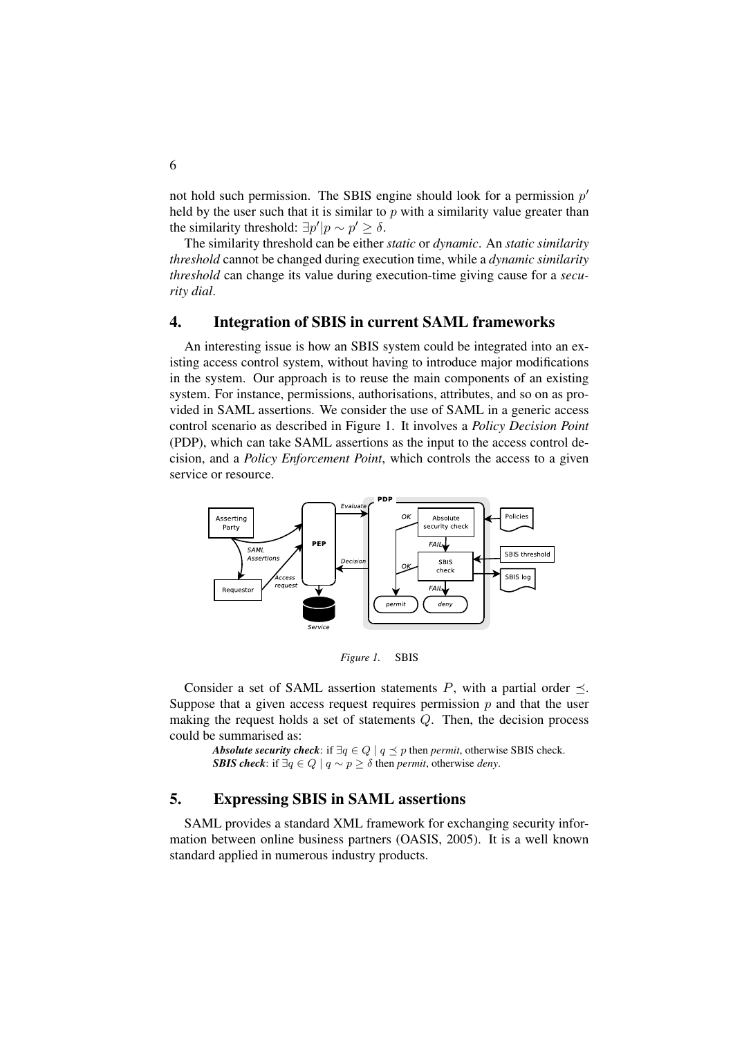not hold such permission. The SBIS engine should look for a permission  $p'$ held by the user such that it is similar to  $p$  with a similarity value greater than the similarity threshold:  $\exists p'|p \sim p' \geq \delta$ .

The similarity threshold can be either *static* or *dynamic*. An *static similarity threshold* cannot be changed during execution time, while a *dynamic similarity threshold* can change its value during execution-time giving cause for a *security dial*.

# **4. Integration of SBIS in current SAML frameworks**

An interesting issue is how an SBIS system could be integrated into an existing access control system, without having to introduce major modifications in the system. Our approach is to reuse the main components of an existing system. For instance, permissions, authorisations, attributes, and so on as provided in SAML assertions. We consider the use of SAML in a generic access control scenario as described in Figure 1. It involves a *Policy Decision Point* (PDP), which can take SAML assertions as the input to the access control decision, and a *Policy Enforcement Point*, which controls the access to a given service or resource.



*Figure 1.* SBIS

Consider a set of SAML assertion statements P, with a partial order  $\preceq$ . Suppose that a given access request requires permission  $p$  and that the user making the request holds a set of statements Q. Then, the decision process could be summarised as:

*Absolute security check*: if  $\exists q \in Q \mid q \prec p$  then *permit*, otherwise SBIS check. *SBIS check*: if  $\exists q \in Q \mid q \sim p \ge \delta$  then *permit*, otherwise *deny*.

## **5. Expressing SBIS in SAML assertions**

SAML provides a standard XML framework for exchanging security information between online business partners (OASIS, 2005). It is a well known standard applied in numerous industry products.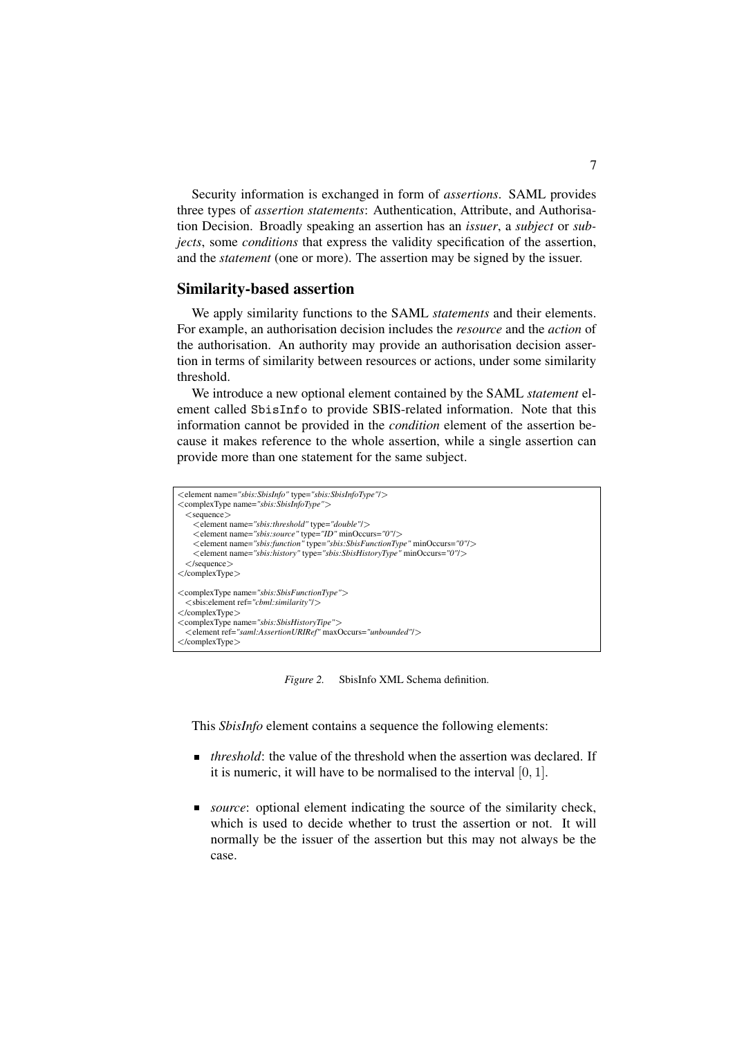Security information is exchanged in form of *assertions*. SAML provides three types of *assertion statements*: Authentication, Attribute, and Authorisation Decision. Broadly speaking an assertion has an *issuer*, a *subject* or *subjects*, some *conditions* that express the validity specification of the assertion, and the *statement* (one or more). The assertion may be signed by the issuer.

#### **Similarity-based assertion**

We apply similarity functions to the SAML *statements* and their elements. For example, an authorisation decision includes the *resource* and the *action* of the authorisation. An authority may provide an authorisation decision assertion in terms of similarity between resources or actions, under some similarity threshold.

We introduce a new optional element contained by the SAML *statement* element called SbisInfo to provide SBIS-related information. Note that this information cannot be provided in the *condition* element of the assertion because it makes reference to the whole assertion, while a single assertion can provide more than one statement for the same subject.



*Figure 2.* SbisInfo XML Schema definition.

This *SbisInfo* element contains a sequence the following elements:

- **threshold:** the value of the threshold when the assertion was declared. If it is numeric, it will have to be normalised to the interval [0, 1].
- *source*: optional element indicating the source of the similarity check, which is used to decide whether to trust the assertion or not. It will normally be the issuer of the assertion but this may not always be the case.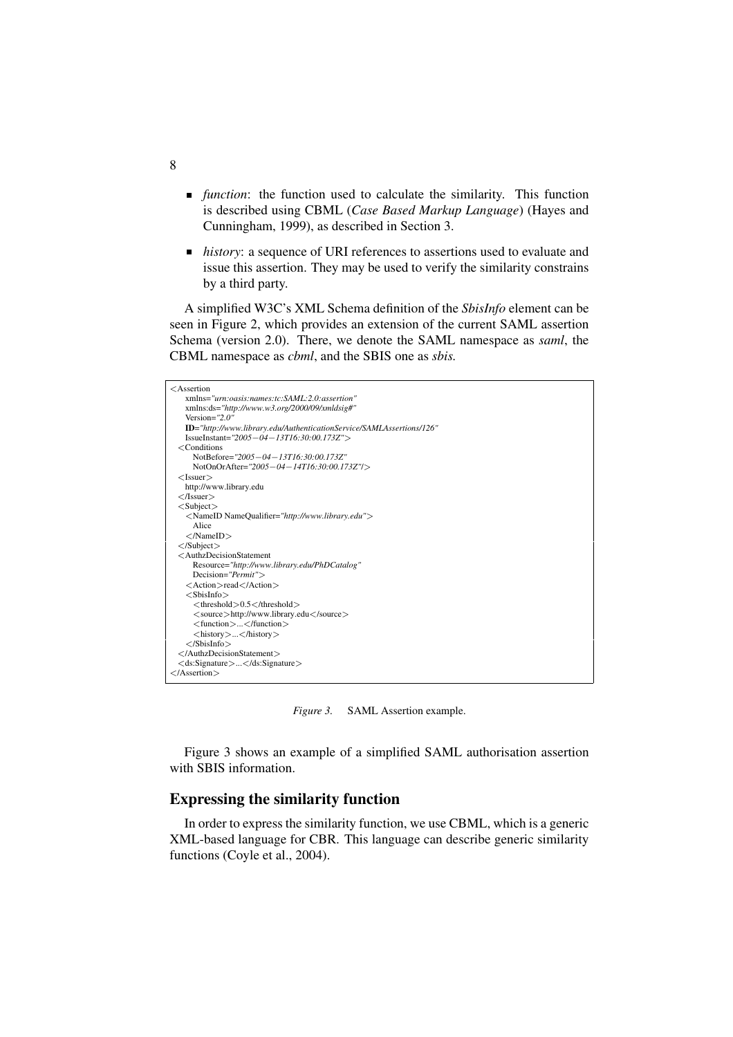- *function*: the function used to calculate the similarity. This function is described using CBML (*Case Based Markup Language*) (Hayes and Cunningham, 1999), as described in Section 3.
- **history:** a sequence of URI references to assertions used to evaluate and issue this assertion. They may be used to verify the similarity constrains by a third party.

A simplified W3C's XML Schema definition of the *SbisInfo* element can be seen in Figure 2, which provides an extension of the current SAML assertion Schema (version 2.0). There, we denote the SAML namespace as *saml*, the CBML namespace as *cbml*, and the SBIS one as *sbis.*



*Figure 3.* SAML Assertion example.

Figure 3 shows an example of a simplified SAML authorisation assertion with SBIS information.

## **Expressing the similarity function**

In order to express the similarity function, we use CBML, which is a generic XML-based language for CBR. This language can describe generic similarity functions (Coyle et al., 2004).

8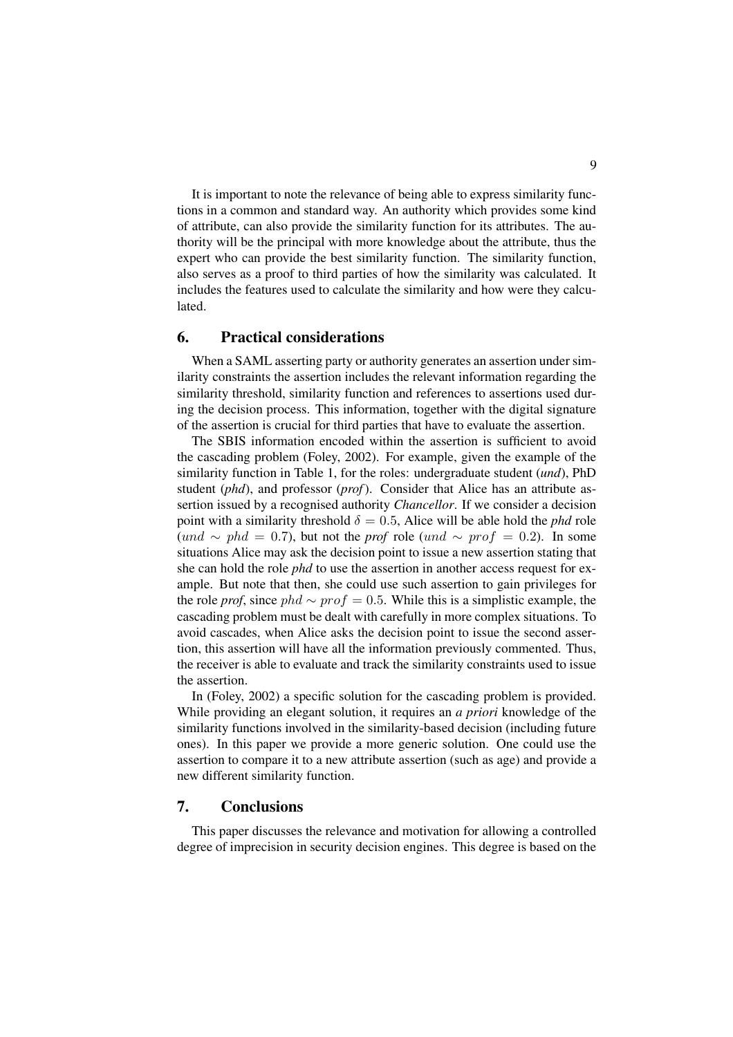It is important to note the relevance of being able to express similarity functions in a common and standard way. An authority which provides some kind of attribute, can also provide the similarity function for its attributes. The authority will be the principal with more knowledge about the attribute, thus the expert who can provide the best similarity function. The similarity function, also serves as a proof to third parties of how the similarity was calculated. It includes the features used to calculate the similarity and how were they calculated.

## **6. Practical considerations**

When a SAML asserting party or authority generates an assertion under similarity constraints the assertion includes the relevant information regarding the similarity threshold, similarity function and references to assertions used during the decision process. This information, together with the digital signature of the assertion is crucial for third parties that have to evaluate the assertion.

The SBIS information encoded within the assertion is sufficient to avoid the cascading problem (Foley, 2002). For example, given the example of the similarity function in Table 1, for the roles: undergraduate student (*und*), PhD student (*phd*), and professor (*prof*). Consider that Alice has an attribute assertion issued by a recognised authority *Chancellor*. If we consider a decision point with a similarity threshold  $\delta = 0.5$ , Alice will be able hold the *phd* role  $(und \sim phd = 0.7)$ , but not the *prof* role  $(und \sim prof = 0.2)$ . In some situations Alice may ask the decision point to issue a new assertion stating that she can hold the role *phd* to use the assertion in another access request for example. But note that then, she could use such assertion to gain privileges for the role *prof*, since phd  $\sim$  prof = 0.5. While this is a simplistic example, the cascading problem must be dealt with carefully in more complex situations. To avoid cascades, when Alice asks the decision point to issue the second assertion, this assertion will have all the information previously commented. Thus, the receiver is able to evaluate and track the similarity constraints used to issue the assertion.

In (Foley, 2002) a specific solution for the cascading problem is provided. While providing an elegant solution, it requires an *a priori* knowledge of the similarity functions involved in the similarity-based decision (including future ones). In this paper we provide a more generic solution. One could use the assertion to compare it to a new attribute assertion (such as age) and provide a new different similarity function.

# **7. Conclusions**

This paper discusses the relevance and motivation for allowing a controlled degree of imprecision in security decision engines. This degree is based on the